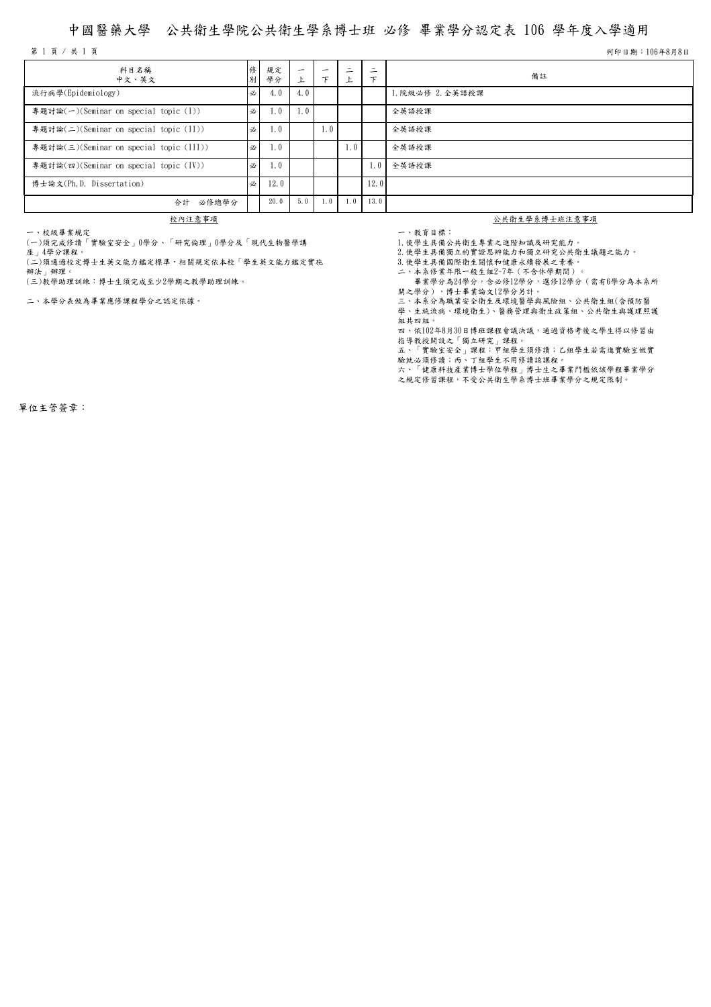## 中國醫藥大學 公共衛生學院公共衛生學系博士班 必修 畢業學分認定表 106 學年度入學適用

第 1 頁 / 共 1 頁 기 106年8月8日 カランド・ウェア おおとこ かんしゅう しゅうしゅう かんしゅう かんしゅう かんしゅう ランド・カード あおとこ タイム 引き出す ショップ こうきょう

| 科目名稱<br>中文、英文                           | 俢<br>別 | 規定<br>學分 | $\overline{\phantom{0}}$<br>ᅩ | $\overline{\phantom{0}}$<br>$\tau$ | ÷.  | ۰<br>– | 備註               |
|-----------------------------------------|--------|----------|-------------------------------|------------------------------------|-----|--------|------------------|
| 流行病學(Epidemiology)                      | 必      | 4.0      | 4.0                           |                                    |     |        | 1. 院級必修 2. 全英語授課 |
| 專題討論(一)(Seminar on special topic (I))   | 必      | 1.0      | 1.0                           |                                    |     |        | 全英語授課            |
| 專題討論(二)(Seminar on special topic (II))  | 必      | 1.0      |                               | 1.0                                |     |        | 全英語授課            |
| 專題討論(三)(Seminar on special topic (III)) | 必      | 1.0      |                               |                                    | 1.0 |        | 全英語授課            |
| 專題討論(四)(Seminar on special topic (IV))  | 必      | 1.0      |                               |                                    |     | 1.01   | 全英語授課            |
| 博士論文(Ph.D. Dissertation)                | 必      | 12.0     |                               |                                    |     | 12.0   |                  |
| 合計 必修總學分                                |        | 20.0     | 5.0                           | 1.0                                | 1.0 | 13.0   |                  |

一、校級畢業規定

(一)須完成修讀「實驗室安全」0學分、「研究倫理」0學分及「現代生物醫學講

座」4學分課程。

(二)須通過校定博士生英文能力鑑定標準,相關規定依本校「學生英文能力鑑定實施 辦法」辦理。

(三)教學助理訓練:博士生須完成至少2學期之教學助理訓練。

二、本學分表做為畢業應修課程學分之認定依據。

## **校內注意事項** 2008年 - 2008年 - 2008年 - 2008年 - 2008年 - 2008年 - 2008年 - 2008年 - 2008年 - 2008年 - 2008年 - 2008年 - 2008年 - 2008年 - 2008年 - 2008年 - 2008年 - 2008年 - 2008年 - 2008年 - 2008年 - 2008年 - 2008年 - 2008年 - 2008年 - 2008年 - 2008

一、教育目標: 1.使學生具備公共衛生專業之進階知識及研究能力。

- .<br>2.使學生具備獨立的實證思辨能力和獨立研究公共衛生議題之能力。

3.使學生具備國際衛生關懷和健康永續發展之素養。

二、本系修業年限一般生組2~7年(不含休學期間)。

畢業學分為24學分,含必修12學分,選修12學分(需有6學分為本系所

開之學分),博士畢業論文12學分另計。

三、本系分為職業安全衛生及環境醫學與風險組、公共衛生組(含預防醫 學、生統流病、環境衛生)、醫務管理與衛生政策組、公共衛生與護理照護 組共四組。

四、依102年8月30日博班課程會議決議,通過資格考後之學生得以修習由

指導教授開設之「獨立研究」課程。 五、「實驗室安全」課程:甲組學生須修讀;乙組學生若需進實驗室做實

驗就必須修讀;丙、丁組學生不用修讀該課程。

六、「健康科技產業博士學位學程」博士生之畢業門檻依該學程畢業學分 之規定修習課程,不受公共衛生學系博士班畢業學分之規定限制。

單位主管簽章: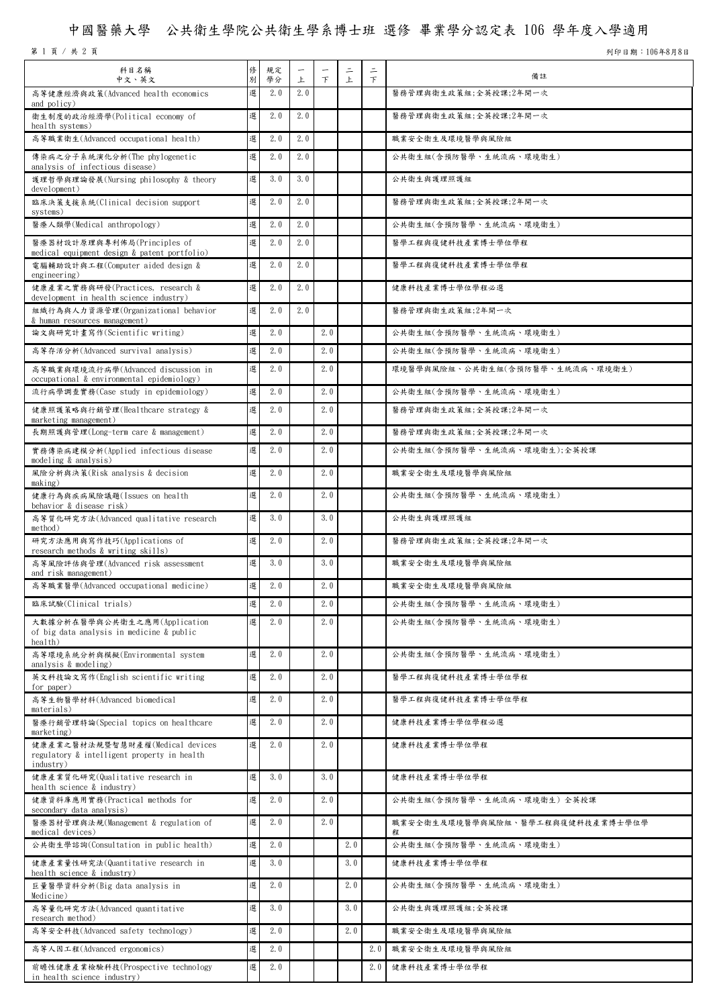## 中國醫藥大學 公共衛生學院公共衛生學系博士班 選修 畢業學分認定表 106 學年度入學適用

第 1 頁 / 共 2 頁 列印日期:106年8月8日

| 科目名稱<br>中文、英文                                                                               | 俢<br>別 | 規定<br>學分 | -<br>上 | 下   | $\equiv$<br>上 | $\equiv$<br>$\mathcal{F}$ | 備註                                    |
|---------------------------------------------------------------------------------------------|--------|----------|--------|-----|---------------|---------------------------|---------------------------------------|
| 高等健康經濟與政策(Advanced health economics<br>and policy)                                          | 選      | 2.0      | 2.0    |     |               |                           | 醫務管理與衛生政策組;全英授課;2年開一次                 |
| 衛生制度的政治經濟學(Political economy of<br>health systems)                                          | 選      | 2.0      | 2.0    |     |               |                           | 醫務管理與衛生政策組;全英授課;2年開一次                 |
| 高等職業衛生(Advanced occupational health)                                                        | 選      | 2.0      | 2.0    |     |               |                           | 職業安全衛生及環境醫學與風險組                       |
| 傳染病之分子系統演化分析(The phylogenetic<br>analysis of infectious disease)                            | 選      | 2.0      | 2.0    |     |               |                           | 公共衛生組(含預防醫學、生統流病、環境衛生)                |
| 護理哲學與理論發展(Nursing philosophy & theory<br>development)                                       | 選      | 3.0      | 3.0    |     |               |                           | 公共衛生與護理照護組                            |
| 臨床決策支援系統(Clinical decision support<br>systems)                                              | 選      | 2.0      | 2.0    |     |               |                           | 醫務管理與衛生政策組;全英授課;2年開一次                 |
| 醫療人類學(Medical anthropology)                                                                 | 選      | 2.0      | 2.0    |     |               |                           | 公共衛生組(含預防醫學、生統流病、環境衛生)                |
| 醫療器材設計原理與專利佈局(Principles of<br>medical equipment design & patent portfolio)                 | 選      | 2.0      | 2.0    |     |               |                           | 醫學工程與復健科技產業博士學位學程                     |
| 電腦輔助設計與工程(Computer aided design &<br>engineering)                                           | 選      | 2.0      | 2.0    |     |               |                           | 醫學工程與復健科技產業博士學位學程                     |
| 健康產業之實務與研發(Practices, research &<br>development in health science industry)                 | 選      | 2.0      | 2.0    |     |               |                           | 健康科技產業博士學位學程必選                        |
| 組織行為與人力資源管理(Organizational behavior<br>& human resources management)                        | 選      | 2.0      | 2.0    |     |               |                           | 醫務管理與衛生政策組;2年開一次                      |
| 論文與研究計畫寫作(Scientific writing)                                                               | 選      | 2.0      |        | 2.0 |               |                           | 公共衛生組(含預防醫學、生統流病、環境衛生)                |
| 高等存活分析(Advanced survival analysis)                                                          | 選      | 2.0      |        | 2.0 |               |                           | 公共衛生組(含預防醫學、生統流病、環境衛生)                |
| 高等職業與環境流行病學(Advanced discussion in<br>occupational & environmental epidemiology)            | 選      | 2.0      |        | 2.0 |               |                           | 環境醫學與風險組、公共衛生組(含預防醫學、生統流病、環境衛生)       |
| 流行病學調查實務(Case study in epidemiology)                                                        | 選      | 2.0      |        | 2.0 |               |                           | 公共衛生組(含預防醫學、生統流病、環境衛生)                |
| 健康照護策略與行銷管理(Healthcare strategy &<br>marketing management)                                  | 選      | 2.0      |        | 2.0 |               |                           | 醫務管理與衛生政策組;全英授課;2年開一次                 |
| 長期照護與管理(Long-term care & management)                                                        | 選      | 2.0      |        | 2.0 |               |                           | 醫務管理與衛生政策組;全英授課;2年開一次                 |
| 實務傳染病建模分析(Applied infectious disease<br>modeling & analysis)                                | 選      | 2.0      |        | 2.0 |               |                           | 公共衛生組(含預防醫學、生統流病、環境衛生);全英授課           |
| 風險分析與決策(Risk analysis & decision<br>making)                                                 | 選      | 2.0      |        | 2.0 |               |                           | 職業安全衛生及環境醫學與風險組                       |
| 健康行為與疾病風險議題(Issues on health<br>behavior & disease risk)                                    | 選      | 2.0      |        | 2.0 |               |                           | 公共衛生組(含預防醫學、生統流病、環境衛生)                |
| 高等質化研究方法(Advanced qualitative research<br>method)                                           | 選      | 3.0      |        | 3.0 |               |                           | 公共衛生與護理照護組                            |
| 研究方法應用與寫作技巧(Applications of<br>research methods & writing skills)                           | 選      | 2.0      |        | 2.0 |               |                           | 醫務管理與衛生政策組;全英授課;2年開一次                 |
| 高等風險評估與管理(Advanced risk assessment<br>and risk management)                                  | 選      | 3.0      |        | 3.0 |               |                           | 職業安全衛生及環境醫學與風險組                       |
| 高等職業醫學(Advanced occupational medicine)                                                      | 選      | 2.0      |        | 2.0 |               |                           | 職業安全衛生及環境醫學與風險組                       |
| 臨床試驗(Clinical trials)                                                                       | 選      | 2.0      |        | 2.0 |               |                           | 公共衛生組(含預防醫學、生統流病、環境衛生)                |
| 大數據分析在醫學與公共衛生之應用(Application<br>of big data analysis in medicine & public<br>health)        | 選      | 2.0      |        | 2.0 |               |                           | 公共衛生組(含預防醫學、生統流病、環境衛生)                |
| 高等環境系統分析與模擬(Environmental system<br>analysis $\&$ modeling)                                 | 選      | 2.0      |        | 2.0 |               |                           | 公共衛生組(含預防醫學、生統流病、環境衛生)                |
| 英文科技論文寫作(English scientific writing<br>for paper)                                           | 選      | 2.0      |        | 2.0 |               |                           | 醫學工程與復健科技產業博士學位學程                     |
| 高等生物醫學材料(Advanced biomedical<br>materials)                                                  | 選      | 2.0      |        | 2.0 |               |                           | 醫學工程與復健科技產業博士學位學程                     |
| 醫療行銷管理特論(Special topics on healthcare<br>marketing                                          | 選      | 2.0      |        | 2.0 |               |                           | 健康科技產業博士學位學程必選                        |
| 健康產業之醫材法規暨智慧財產權(Medical devices<br>regulatory & intelligent property in health<br>industry) | 選      | 2.0      |        | 2.0 |               |                           | 健康科技產業博士學位學程                          |
| 健康產業質化研究(Qualitative research in<br>health science & industry)                              | 選      | 3.0      |        | 3.0 |               |                           | 健康科技產業博士學位學程                          |
| 健康資料庫應用實務(Practical methods for<br>secondary data analysis)                                 | 選      | 2.0      |        | 2.0 |               |                           | 公共衛生組(含預防醫學、生統流病、環境衛生)全英授課            |
| 醫療器材管理與法規(Management & regulation of<br>medical devices)                                    | 選      | 2.0      |        | 2.0 |               |                           | 職業安全衛生及環境醫學與風險組、醫學工程與復健科技產業博士學位學<br>程 |
| 公共衛生學諮詢(Consultation in public health)                                                      | 選      | 2.0      |        |     | 2.0           |                           | 公共衛生組(含預防醫學、生統流病、環境衛生)                |
| 健康產業量性研究法(Quantitative research in<br>health science & industry)                            | 選      | 3.0      |        |     | 3.0           |                           | 健康科技產業博士學位學程                          |
| 巨量醫學資料分析(Big data analysis in<br>Medicine)                                                  | 選      | 2.0      |        |     | 2.0           |                           | 公共衛生組(含預防醫學、生統流病、環境衛生)                |
| 高等量化研究方法(Advanced quantitative<br>research method)                                          | 選      | 3.0      |        |     | 3.0           |                           | 公共衛生與護理照護組;全英授課                       |
| 高等安全科技(Advanced safety technology)                                                          | 選      | 2.0      |        |     | 2.0           |                           | 職業安全衛生及環境醫學與風險組                       |
| 高等人因工程(Advanced ergonomics)                                                                 | 選      | 2.0      |        |     |               | 2.0                       | 職業安全衛生及環境醫學與風險組                       |
| 前瞻性健康產業檢驗科技(Prospective technology<br>in health science industry)                           | 選      | 2.0      |        |     |               | 2.0                       | 健康科技產業博士學位學程                          |